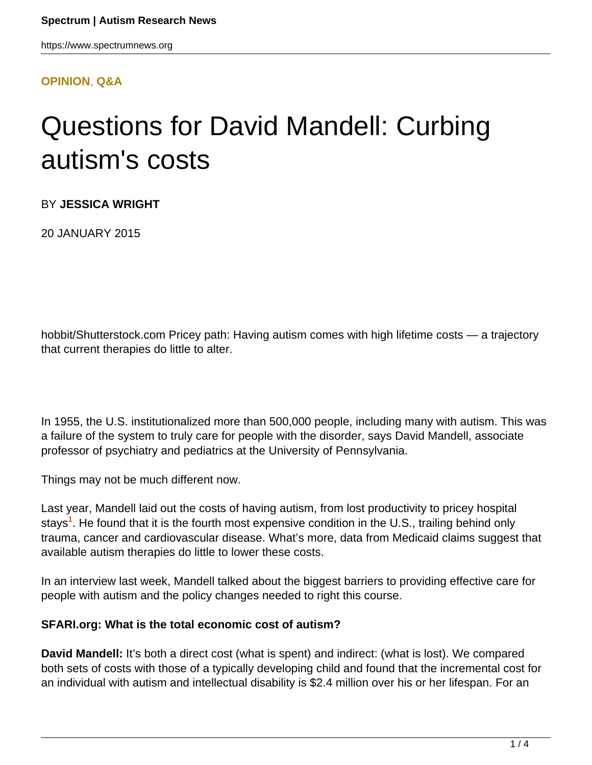#### **[OPINION](HTTPS://WWW.SPECTRUMNEWS.ORG/OPINION/)**, **[Q&A](HTTPS://WWW.SPECTRUMNEWS.ORG/OPINION/Q-AND-A/)**

# Questions for David Mandell: Curbing autism's costs

BY **JESSICA WRIGHT**

20 JANUARY 2015

hobbit/Shutterstock.com Pricey path: Having autism comes with high lifetime costs — a trajectory that current therapies do little to alter.

In 1955, the U.S. institutionalized more than 500,000 people, including many with autism. This was a failure of the system to truly care for people with the disorder, says David Mandell, associate professor of psychiatry and pediatrics at the University of Pennsylvania.

Things may not be much different now.

Last year, Mandell laid out the costs of having autism, from lost productivity to pricey hospital stays**<sup>1</sup>** . He found that it is the fourth most expensive condition in the U.S., trailing behind only trauma, cancer and cardiovascular disease. What's more, data from Medicaid claims suggest that available autism therapies do little to lower these costs.

In an interview last week, Mandell talked about the biggest barriers to providing effective care for people with autism and the policy changes needed to right this course.

#### **SFARI.org: What is the total economic cost of autism?**

**David Mandell:** It's both a direct cost (what is spent) and indirect: (what is lost). We compared both sets of costs with those of a typically developing child and found that the incremental cost for an individual with autism and intellectual disability is \$2.4 million over his or her lifespan. For an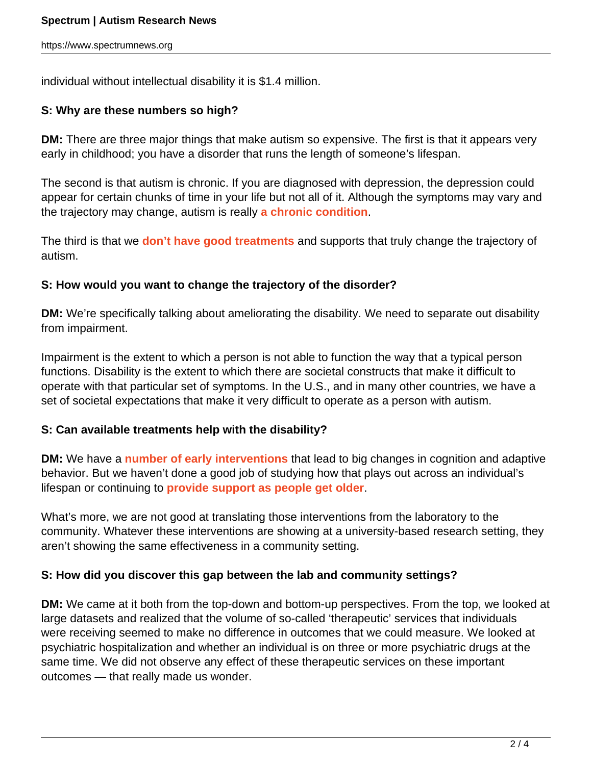individual without intellectual disability it is \$1.4 million.

# **S: Why are these numbers so high?**

**DM:** There are three major things that make autism so expensive. The first is that it appears very early in childhood; you have a disorder that runs the length of someone's lifespan.

The second is that autism is chronic. If you are diagnosed with depression, the depression could appear for certain chunks of time in your life but not all of it. Although the symptoms may vary and the trajectory may change, autism is really **[a chronic condition](https://www.spectrumnews.org/news/2011/people-with-milder-forms-of-autism-struggle-as-adults)**.

The third is that we **[don't have good treatments](https://www.spectrumnews.org/conference-news/2014/society-for-neuroscience-2014/questions-for-thomas-insel-paths-to-treatments-for-autism)** and supports that truly change the trajectory of autism.

#### **S: How would you want to change the trajectory of the disorder?**

**DM:** We're specifically talking about ameliorating the disability. We need to separate out disability from impairment.

Impairment is the extent to which a person is not able to function the way that a typical person functions. Disability is the extent to which there are societal constructs that make it difficult to operate with that particular set of symptoms. In the U.S., and in many other countries, we have a set of societal expectations that make it very difficult to operate as a person with autism.

#### **S: Can available treatments help with the disability?**

**DM:** We have a **[number of early interventions](https://www.spectrumnews.org/news/2014/studies-try-to-pin-down-timing-of-early-autism-treatment)** that lead to big changes in cognition and adaptive behavior. But we haven't done a good job of studying how that plays out across an individual's lifespan or continuing to **[provide support as people get older](https://www.spectrumnews.org/blog/2011/left-behind)**.

What's more, we are not good at translating those interventions from the laboratory to the community. Whatever these interventions are showing at a university-based research setting, they aren't showing the same effectiveness in a community setting.

#### **S: How did you discover this gap between the lab and community settings?**

**DM:** We came at it both from the top-down and bottom-up perspectives. From the top, we looked at large datasets and realized that the volume of so-called 'therapeutic' services that individuals were receiving seemed to make no difference in outcomes that we could measure. We looked at psychiatric hospitalization and whether an individual is on three or more psychiatric drugs at the same time. We did not observe any effect of these therapeutic services on these important outcomes — that really made us wonder.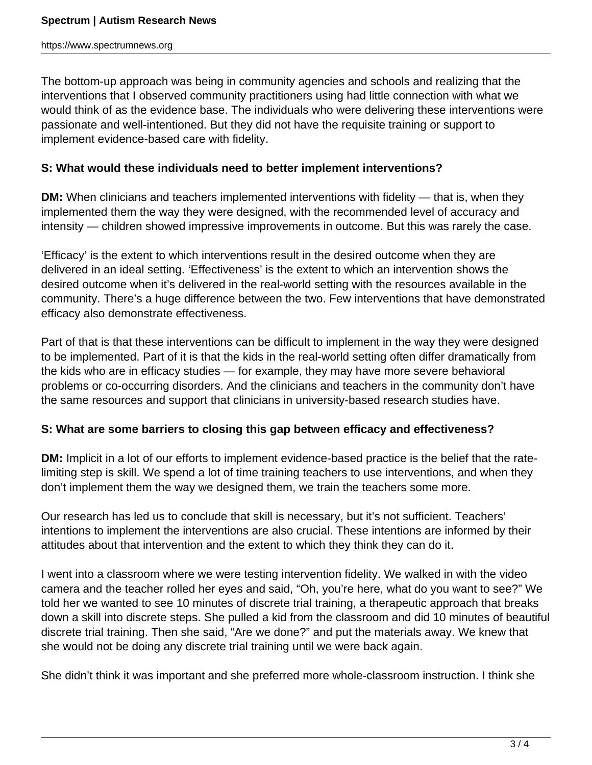The bottom-up approach was being in community agencies and schools and realizing that the interventions that I observed community practitioners using had little connection with what we would think of as the evidence base. The individuals who were delivering these interventions were passionate and well-intentioned. But they did not have the requisite training or support to implement evidence-based care with fidelity.

#### **S: What would these individuals need to better implement interventions?**

**DM:** When clinicians and teachers implemented interventions with fidelity — that is, when they implemented them the way they were designed, with the recommended level of accuracy and intensity — children showed impressive improvements in outcome. But this was rarely the case.

'Efficacy' is the extent to which interventions result in the desired outcome when they are delivered in an ideal setting. 'Effectiveness' is the extent to which an intervention shows the desired outcome when it's delivered in the real-world setting with the resources available in the community. There's a huge difference between the two. Few interventions that have demonstrated efficacy also demonstrate effectiveness.

Part of that is that these interventions can be difficult to implement in the way they were designed to be implemented. Part of it is that the kids in the real-world setting often differ dramatically from the kids who are in efficacy studies — for example, they may have more severe behavioral problems or co-occurring disorders. And the clinicians and teachers in the community don't have the same resources and support that clinicians in university-based research studies have.

#### **S: What are some barriers to closing this gap between efficacy and effectiveness?**

**DM:** Implicit in a lot of our efforts to implement evidence-based practice is the belief that the ratelimiting step is skill. We spend a lot of time training teachers to use interventions, and when they don't implement them the way we designed them, we train the teachers some more.

Our research has led us to conclude that skill is necessary, but it's not sufficient. Teachers' intentions to implement the interventions are also crucial. These intentions are informed by their attitudes about that intervention and the extent to which they think they can do it.

I went into a classroom where we were testing intervention fidelity. We walked in with the video camera and the teacher rolled her eyes and said, "Oh, you're here, what do you want to see?" We told her we wanted to see 10 minutes of discrete trial training, a therapeutic approach that breaks down a skill into discrete steps. She pulled a kid from the classroom and did 10 minutes of beautiful discrete trial training. Then she said, "Are we done?" and put the materials away. We knew that she would not be doing any discrete trial training until we were back again.

She didn't think it was important and she preferred more whole-classroom instruction. I think she